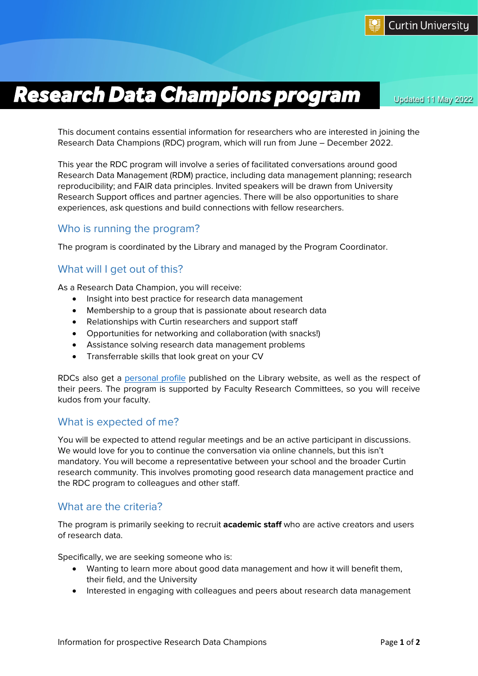# *Research Data Champions program* Updated 11 May 2022

This document contains essential information for researchers who are interested in joining the Research Data Champions (RDC) program, which will run from June – December 2022.

This year the RDC program will involve a series of facilitated conversations around good Research Data Management (RDM) practice, including data management planning; research reproducibility; and FAIR data principles. Invited speakers will be drawn from University Research Support offices and partner agencies. There will be also opportunities to share experiences, ask questions and build connections with fellow researchers.

### Who is running the program?

The program is coordinated by the Library and managed by the Program Coordinator.

### What will I get out of this?

As a Research Data Champion, you will receive:

- Insight into best practice for research data management
- Membership to a group that is passionate about research data
- Relationships with Curtin researchers and support staff
- Opportunities for networking and collaboration (with snacks!)
- Assistance solving research data management problems
- Transferrable skills that look great on your CV

RDCs also get a [personal profile](https://library.curtin.edu.au/guides/research-data-champions/) published on the Library website, as well as the respect of their peers. The program is supported by Faculty Research Committees, so you will receive kudos from your faculty.

### What is expected of me?

You will be expected to attend regular meetings and be an active participant in discussions. We would love for you to continue the conversation via online channels, but this isn't mandatory. You will become a representative between your school and the broader Curtin research community. This involves promoting good research data management practice and the RDC program to colleagues and other staff.

#### What are the criteria?

The program is primarily seeking to recruit **academic staff** who are active creators and users of research data.

Specifically, we are seeking someone who is:

- Wanting to learn more about good data management and how it will benefit them, their field, and the University
- Interested in engaging with colleagues and peers about research data management